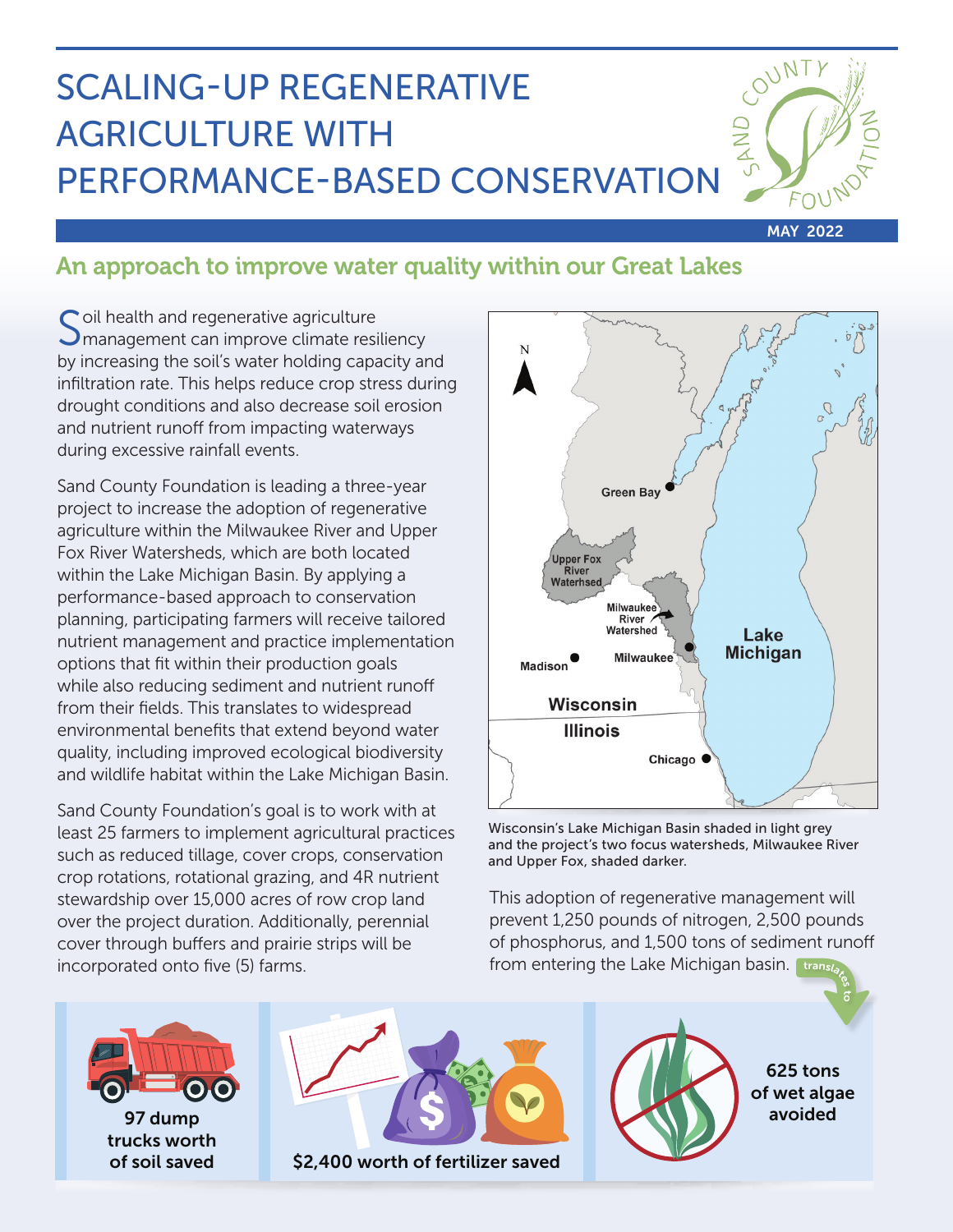# SCALING-UP REGENERATIVE AGRICULTURE WITH PERFORMANCE-BASED CONSERVATION



MAY 2022

## An approach to improve water quality within our Great Lakes

 $\bigcap$  oil health and regenerative agriculture  $\bigcup$  management can improve climate resiliency by increasing the soil's water holding capacity and infiltration rate. This helps reduce crop stress during drought conditions and also decrease soil erosion and nutrient runoff from impacting waterways during excessive rainfall events.

Sand County Foundation is leading a three-year project to increase the adoption of regenerative agriculture within the Milwaukee River and Upper Fox River Watersheds, which are both located within the Lake Michigan Basin. By applying a performance-based approach to conservation planning, participating farmers will receive tailored nutrient management and practice implementation options that fit within their production goals while also reducing sediment and nutrient runoff from their fields. This translates to widespread environmental benefits that extend beyond water quality, including improved ecological biodiversity and wildlife habitat within the Lake Michigan Basin.

Sand County Foundation's goal is to work with at least 25 farmers to implement agricultural practices such as reduced tillage, cover crops, conservation crop rotations, rotational grazing, and 4R nutrient stewardship over 15,000 acres of row crop land over the project duration. Additionally, perennial cover through buffers and prairie strips will be incorporated onto five (5) farms.



Wisconsin's Lake Michigan Basin shaded in light grey and the project's two focus watersheds, Milwaukee River and Upper Fox, shaded darker.

This adoption of regenerative management will prevent 1,250 pounds of nitrogen, 2,500 pounds of phosphorus, and 1,500 tons of sediment runoff from entering the Lake Michigan basin. Etransla<sub>te</sub>



97 dump trucks worth



of soil saved \$2,400 worth of fertilizer saved

625 tons of wet algae avoided

 $\overline{\phantom{a}}$ o